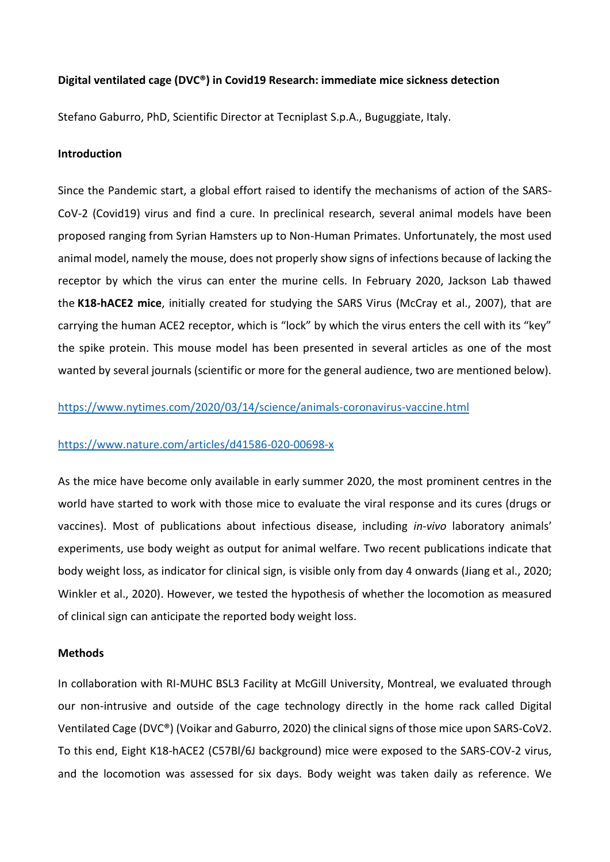## **Digital ventilated cage (DVC®) in Covid19 Research: immediate mice sickness detection**

Stefano Gaburro, PhD, Scientific Director at Tecniplast S.p.A., Buguggiate, Italy.

#### **Introduction**

Since the Pandemic start, a global effort raised to identify the mechanisms of action of the SARS-CoV-2 (Covid19) virus and find a cure. In preclinical research, several animal models have been proposed ranging from Syrian Hamsters up to Non-Human Primates. Unfortunately, the most used animal model, namely the mouse, does not properly show signs of infections because of lacking the receptor by which the virus can enter the murine cells. In February 2020, Jackson Lab thawed the **K18-hACE2 mice**, initially created for studying the SARS Virus (McCray et al., 2007), that are carrying the human ACE2 receptor, which is "lock" by which the virus enters the cell with its "key" the spike protein. This mouse model has been presented in several articles as one of the most wanted by several journals (scientific or more for the general audience, two are mentioned below).

# <https://www.nytimes.com/2020/03/14/science/animals-coronavirus-vaccine.html>

## <https://www.nature.com/articles/d41586-020-00698-x>

As the mice have become only available in early summer 2020, the most prominent centres in the world have started to work with those mice to evaluate the viral response and its cures (drugs or vaccines). Most of publications about infectious disease, including *in-vivo* laboratory animals' experiments, use body weight as output for animal welfare. Two recent publications indicate that body weight loss, as indicator for clinical sign, is visible only from day 4 onwards (Jiang et al., 2020; Winkler et al., 2020). However, we tested the hypothesis of whether the locomotion as measured of clinical sign can anticipate the reported body weight loss.

#### **Methods**

In collaboration with RI-MUHC BSL3 Facility at McGill University, Montreal, we evaluated through our non-intrusive and outside of the cage technology directly in the home rack called Digital Ventilated Cage (DVC®) (Voikar and Gaburro, 2020) the clinical signs of those mice upon SARS-CoV2. To this end, Eight K18-hACE2 (C57Bl/6J background) mice were exposed to the SARS-COV-2 virus, and the locomotion was assessed for six days. Body weight was taken daily as reference. We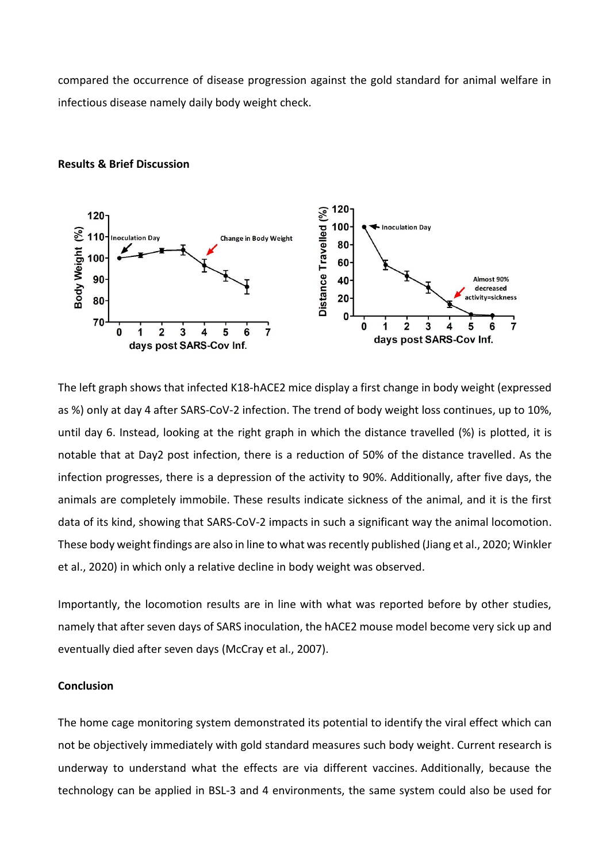compared the occurrence of disease progression against the gold standard for animal welfare in infectious disease namely daily body weight check.



## **Results & Brief Discussion**

The left graph shows that infected K18-hACE2 mice display a first change in body weight (expressed as %) only at day 4 after SARS-CoV-2 infection. The trend of body weight loss continues, up to 10%, until day 6. Instead, looking at the right graph in which the distance travelled (%) is plotted, it is notable that at Day2 post infection, there is a reduction of 50% of the distance travelled. As the infection progresses, there is a depression of the activity to 90%. Additionally, after five days, the animals are completely immobile. These results indicate sickness of the animal, and it is the first data of its kind, showing that SARS-CoV-2 impacts in such a significant way the animal locomotion. These body weight findings are also in line to what was recently published (Jiang et al., 2020; Winkler et al., 2020) in which only a relative decline in body weight was observed.

Importantly, the locomotion results are in line with what was reported before by other studies, namely that after seven days of SARS inoculation, the hACE2 mouse model become very sick up and eventually died after seven days (McCray et al., 2007).

# **Conclusion**

The home cage monitoring system demonstrated its potential to identify the viral effect which can not be objectively immediately with gold standard measures such body weight. Current research is underway to understand what the effects are via different vaccines. Additionally, because the technology can be applied in BSL-3 and 4 environments, the same system could also be used for